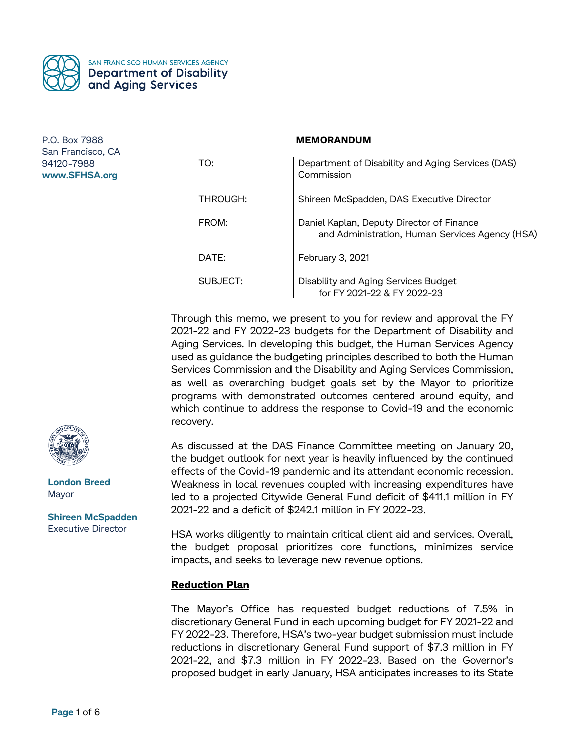

#### **MEMORANDUM**

| TO:      | Department of Disability and Aging Services (DAS)<br>Commission                              |
|----------|----------------------------------------------------------------------------------------------|
| THROUGH: | Shireen McSpadden, DAS Executive Director                                                    |
| FROM:    | Daniel Kaplan, Deputy Director of Finance<br>and Administration, Human Services Agency (HSA) |
| DATE:    | February 3, 2021                                                                             |
| SUBJECT: | Disability and Aging Services Budget<br>for FY 2021-22 & FY 2022-23                          |

Through this memo, we present to you for review and approval the FY 2021-22 and FY 2022-23 budgets for the Department of Disability and Aging Services. In developing this budget, the Human Services Agency used as guidance the budgeting principles described to both the Human Services Commission and the Disability and Aging Services Commission, as well as overarching budget goals set by the Mayor to prioritize programs with demonstrated outcomes centered around equity, and which continue to address the response to Covid-19 and the economic recovery.

As discussed at the DAS Finance Committee meeting on January 20, the budget outlook for next year is heavily influenced by the continued effects of the Covid-19 pandemic and its attendant economic recession. Weakness in local revenues coupled with increasing expenditures have led to a projected Citywide General Fund deficit of \$411.1 million in FY 2021-22 and a deficit of \$242.1 million in FY 2022-23.

HSA works diligently to maintain critical client aid and services. Overall, the budget proposal prioritizes core functions, minimizes service impacts, and seeks to leverage new revenue options.

# **Reduction Plan**

The Mayor's Office has requested budget reductions of 7.5% in discretionary General Fund in each upcoming budget for FY 2021-22 and FY 2022-23. Therefore, HSA's two-year budget submission must include reductions in discretionary General Fund support of \$7.3 million in FY 2021-22, and \$7.3 million in FY 2022-23. Based on the Governor's proposed budget in early January, HSA anticipates increases to its State



**London Breed** Mayor

**Shireen McSpadden** Executive Director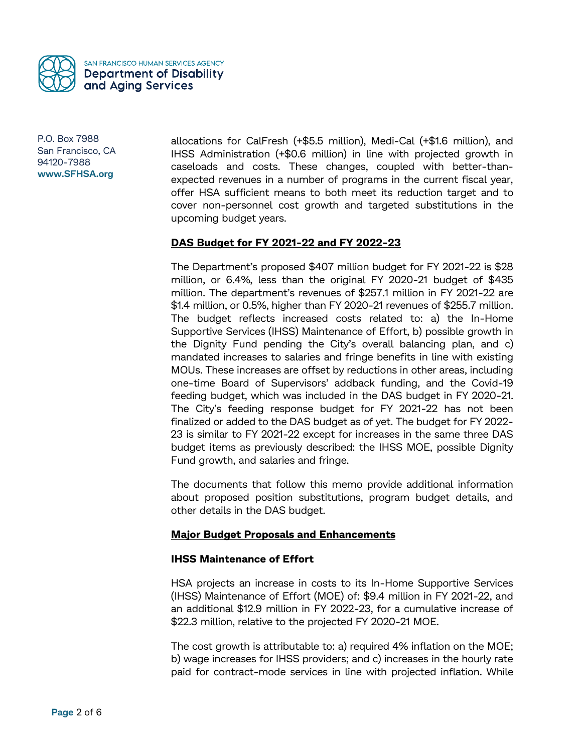

allocations for CalFresh (+\$5.5 million), Medi-Cal (+\$1.6 million), and IHSS Administration (+\$0.6 million) in line with projected growth in caseloads and costs. These changes, coupled with better-thanexpected revenues in a number of programs in the current fiscal year, offer HSA sufficient means to both meet its reduction target and to cover non-personnel cost growth and targeted substitutions in the upcoming budget years.

### **DAS Budget for FY 2021-22 and FY 2022-23**

The Department's proposed \$407 million budget for FY 2021-22 is \$28 million, or 6.4%, less than the original FY 2020-21 budget of \$435 million. The department's revenues of \$257.1 million in FY 2021-22 are \$1.4 million, or 0.5%, higher than FY 2020-21 revenues of \$255.7 million. The budget reflects increased costs related to: a) the In-Home Supportive Services (IHSS) Maintenance of Effort, b) possible growth in the Dignity Fund pending the City's overall balancing plan, and c) mandated increases to salaries and fringe benefits in line with existing MOUs. These increases are offset by reductions in other areas, including one-time Board of Supervisors' addback funding, and the Covid-19 feeding budget, which was included in the DAS budget in FY 2020-21. The City's feeding response budget for FY 2021-22 has not been finalized or added to the DAS budget as of yet. The budget for FY 2022- 23 is similar to FY 2021-22 except for increases in the same three DAS budget items as previously described: the IHSS MOE, possible Dignity Fund growth, and salaries and fringe.

The documents that follow this memo provide additional information about proposed position substitutions, program budget details, and other details in the DAS budget.

# **Major Budget Proposals and Enhancements**

### **IHSS Maintenance of Effort**

HSA projects an increase in costs to its In-Home Supportive Services (IHSS) Maintenance of Effort (MOE) of: \$9.4 million in FY 2021-22, and an additional \$12.9 million in FY 2022-23, for a cumulative increase of \$22.3 million, relative to the projected FY 2020-21 MOE.

The cost growth is attributable to: a) required 4% inflation on the MOE; b) wage increases for IHSS providers; and c) increases in the hourly rate paid for contract-mode services in line with projected inflation. While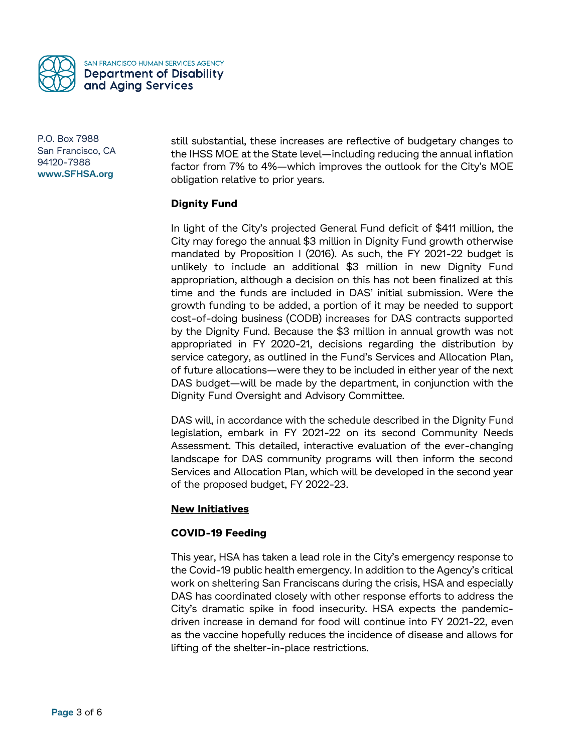

still substantial, these increases are reflective of budgetary changes to the IHSS MOE at the State level—including reducing the annual inflation factor from 7% to 4%—which improves the outlook for the City's MOE obligation relative to prior years.

### **Dignity Fund**

In light of the City's projected General Fund deficit of \$411 million, the City may forego the annual \$3 million in Dignity Fund growth otherwise mandated by Proposition I (2016). As such, the FY 2021-22 budget is unlikely to include an additional \$3 million in new Dignity Fund appropriation, although a decision on this has not been finalized at this time and the funds are included in DAS' initial submission. Were the growth funding to be added, a portion of it may be needed to support cost-of-doing business (CODB) increases for DAS contracts supported by the Dignity Fund. Because the \$3 million in annual growth was not appropriated in FY 2020-21, decisions regarding the distribution by service category, as outlined in the Fund's Services and Allocation Plan, of future allocations—were they to be included in either year of the next DAS budget—will be made by the department, in conjunction with the Dignity Fund Oversight and Advisory Committee.

DAS will, in accordance with the schedule described in the Dignity Fund legislation, embark in FY 2021-22 on its second Community Needs Assessment. This detailed, interactive evaluation of the ever-changing landscape for DAS community programs will then inform the second Services and Allocation Plan, which will be developed in the second year of the proposed budget, FY 2022-23.

### **New Initiatives**

### **COVID-19 Feeding**

This year, HSA has taken a lead role in the City's emergency response to the Covid-19 public health emergency. In addition to the Agency's critical work on sheltering San Franciscans during the crisis, HSA and especially DAS has coordinated closely with other response efforts to address the City's dramatic spike in food insecurity. HSA expects the pandemicdriven increase in demand for food will continue into FY 2021-22, even as the vaccine hopefully reduces the incidence of disease and allows for lifting of the shelter-in-place restrictions.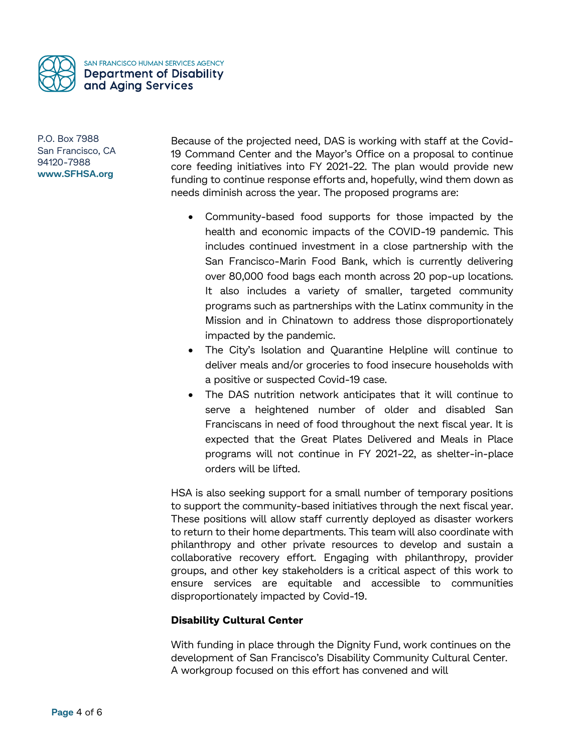

Because of the projected need, DAS is working with staff at the Covid-19 Command Center and the Mayor's Office on a proposal to continue core feeding initiatives into FY 2021-22. The plan would provide new funding to continue response efforts and, hopefully, wind them down as needs diminish across the year. The proposed programs are:

- Community-based food supports for those impacted by the health and economic impacts of the COVID-19 pandemic. This includes continued investment in a close partnership with the San Francisco-Marin Food Bank, which is currently delivering over 80,000 food bags each month across 20 pop-up locations. It also includes a variety of smaller, targeted community programs such as partnerships with the Latinx community in the Mission and in Chinatown to address those disproportionately impacted by the pandemic.
- The City's Isolation and Quarantine Helpline will continue to deliver meals and/or groceries to food insecure households with a positive or suspected Covid-19 case.
- The DAS nutrition network anticipates that it will continue to serve a heightened number of older and disabled San Franciscans in need of food throughout the next fiscal year. It is expected that the Great Plates Delivered and Meals in Place programs will not continue in FY 2021-22, as shelter-in-place orders will be lifted.

HSA is also seeking support for a small number of temporary positions to support the community-based initiatives through the next fiscal year. These positions will allow staff currently deployed as disaster workers to return to their home departments. This team will also coordinate with philanthropy and other private resources to develop and sustain a collaborative recovery effort. Engaging with philanthropy, provider groups, and other key stakeholders is a critical aspect of this work to ensure services are equitable and accessible to communities disproportionately impacted by Covid-19.

# **Disability Cultural Center**

With funding in place through the Dignity Fund, work continues on the development of San Francisco's Disability Community Cultural Center. A workgroup focused on this effort has convened and will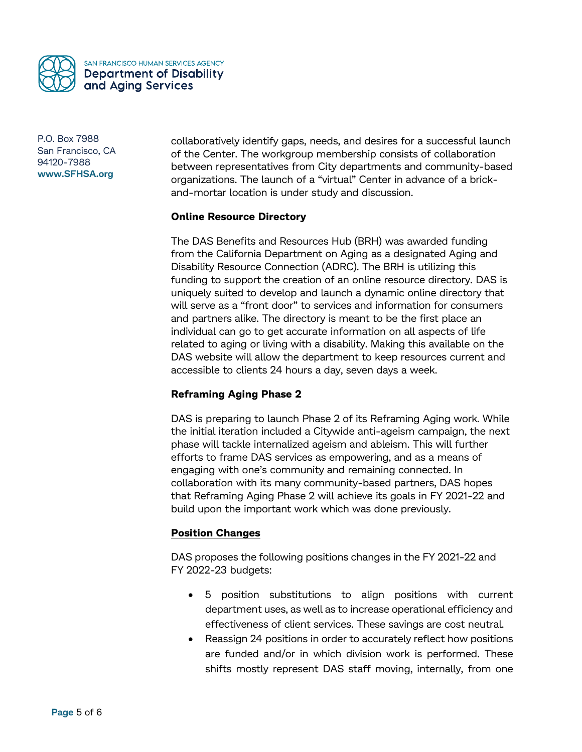

collaboratively identify gaps, needs, and desires for a successful launch of the Center. The workgroup membership consists of collaboration between representatives from City departments and community-based organizations. The launch of a "virtual" Center in advance of a brickand-mortar location is under study and discussion.

### **Online Resource Directory**

The DAS Benefits and Resources Hub (BRH) was awarded funding from the California Department on Aging as a designated Aging and Disability Resource Connection (ADRC). The BRH is utilizing this funding to support the creation of an online resource directory. DAS is uniquely suited to develop and launch a dynamic online directory that will serve as a "front door" to services and information for consumers and partners alike. The directory is meant to be the first place an individual can go to get accurate information on all aspects of life related to aging or living with a disability. Making this available on the DAS website will allow the department to keep resources current and accessible to clients 24 hours a day, seven days a week.

# **Reframing Aging Phase 2**

DAS is preparing to launch Phase 2 of its Reframing Aging work. While the initial iteration included a Citywide anti-ageism campaign, the next phase will tackle internalized ageism and ableism. This will further efforts to frame DAS services as empowering, and as a means of engaging with one's community and remaining connected. In collaboration with its many community-based partners, DAS hopes that Reframing Aging Phase 2 will achieve its goals in FY 2021-22 and build upon the important work which was done previously.

# **Position Changes**

DAS proposes the following positions changes in the FY 2021-22 and FY 2022-23 budgets:

- 5 position substitutions to align positions with current department uses, as well as to increase operational efficiency and effectiveness of client services. These savings are cost neutral.
- Reassign 24 positions in order to accurately reflect how positions are funded and/or in which division work is performed. These shifts mostly represent DAS staff moving, internally, from one